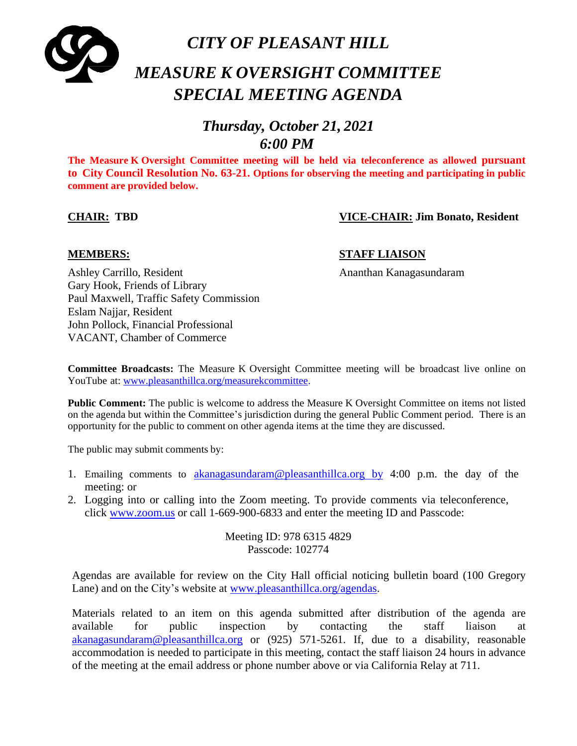

# *CITY OF PLEASANT HILL MEASURE K OVERSIGHT COMMITTEE SPECIAL MEETING AGENDA*

## *Thursday, October 21, 2021 6:00 PM*

**The Measure K Oversight Committee meeting will be held via teleconference as allowed pursuant to City Council Resolution No. 63-21. Options for observing the meeting and participating in public comment are provided below.**

### **CHAIR: TBD VICE-CHAIR: Jim Bonato, Resident**

#### **MEMBERS: STAFF LIAISON**

Ashley Carrillo, Resident Ananthan Kanagasundaram Gary Hook, Friends of Library Paul Maxwell, Traffic Safety Commission Eslam Najjar, Resident John Pollock, Financial Professional VACANT, Chamber of Commerce

**Committee Broadcasts:** The Measure K Oversight Committee meeting will be broadcast live online on YouTube at: [www.pleasanthillca.org/measurekcommittee.](http://www.pleasanthillca.org/measurekcommittee)

**Public Comment:** The public is welcome to address the Measure K Oversight Committee on items not listed on the agenda but within the Committee's jurisdiction during the general Public Comment period. There is an opportunity for the public to comment on other agenda items at the time they are discussed.

The public may submit comments by:

- 1. Emailing comments to [akanagasundaram@pleasanthillca.org](mailto:akanagasundaram@pleasanthillca.org%20%20by) by 4:00 p.m. the day of the meeting: or
- 2. Logging into or calling into the Zoom meeting. To provide comments via teleconference, click [www.zoom.us](http://www.zoom.us/) or call 1-669-900-6833 and enter the meeting ID and Passcode:

Meeting ID: 978 6315 4829 Passcode: 102774

Agendas are available for review on the City Hall official noticing bulletin board (100 Gregory Lane) and on the City's website at [www.pleasanthillca.org/agendas.](http://www.pleasanthillca.org/agendas)

Materials related to an item on this agenda submitted after distribution of the agenda are available for public inspection by contacting the staff liaison at [akanagasundaram@pleasanthillca.org](mailto:akanagasundaram@pleasanthillca.org) or (925) 571-5261. If, due to a disability, reasonable accommodation is needed to participate in this meeting, contact the staff liaison 24 hours in advance of the meeting at the email address or phone number above or via California Relay at 711.